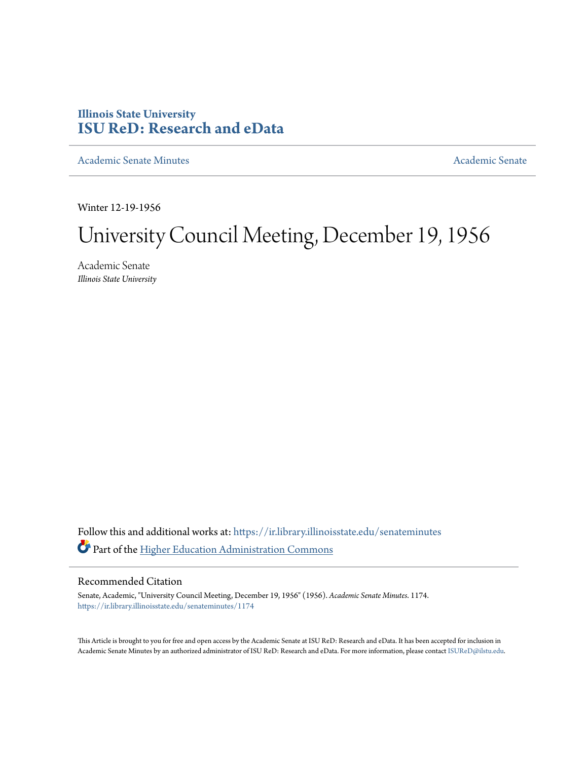## **Illinois State University [ISU ReD: Research and eData](https://ir.library.illinoisstate.edu?utm_source=ir.library.illinoisstate.edu%2Fsenateminutes%2F1174&utm_medium=PDF&utm_campaign=PDFCoverPages)**

[Academic Senate Minutes](https://ir.library.illinoisstate.edu/senateminutes?utm_source=ir.library.illinoisstate.edu%2Fsenateminutes%2F1174&utm_medium=PDF&utm_campaign=PDFCoverPages) [Academic Senate](https://ir.library.illinoisstate.edu/senate?utm_source=ir.library.illinoisstate.edu%2Fsenateminutes%2F1174&utm_medium=PDF&utm_campaign=PDFCoverPages) Academic Senate

Winter 12-19-1956

## University Council Meeting, December 19, 1956

Academic Senate *Illinois State University*

Follow this and additional works at: [https://ir.library.illinoisstate.edu/senateminutes](https://ir.library.illinoisstate.edu/senateminutes?utm_source=ir.library.illinoisstate.edu%2Fsenateminutes%2F1174&utm_medium=PDF&utm_campaign=PDFCoverPages) Part of the [Higher Education Administration Commons](http://network.bepress.com/hgg/discipline/791?utm_source=ir.library.illinoisstate.edu%2Fsenateminutes%2F1174&utm_medium=PDF&utm_campaign=PDFCoverPages)

## Recommended Citation

Senate, Academic, "University Council Meeting, December 19, 1956" (1956). *Academic Senate Minutes*. 1174. [https://ir.library.illinoisstate.edu/senateminutes/1174](https://ir.library.illinoisstate.edu/senateminutes/1174?utm_source=ir.library.illinoisstate.edu%2Fsenateminutes%2F1174&utm_medium=PDF&utm_campaign=PDFCoverPages)

This Article is brought to you for free and open access by the Academic Senate at ISU ReD: Research and eData. It has been accepted for inclusion in Academic Senate Minutes by an authorized administrator of ISU ReD: Research and eData. For more information, please contact [ISUReD@ilstu.edu.](mailto:ISUReD@ilstu.edu)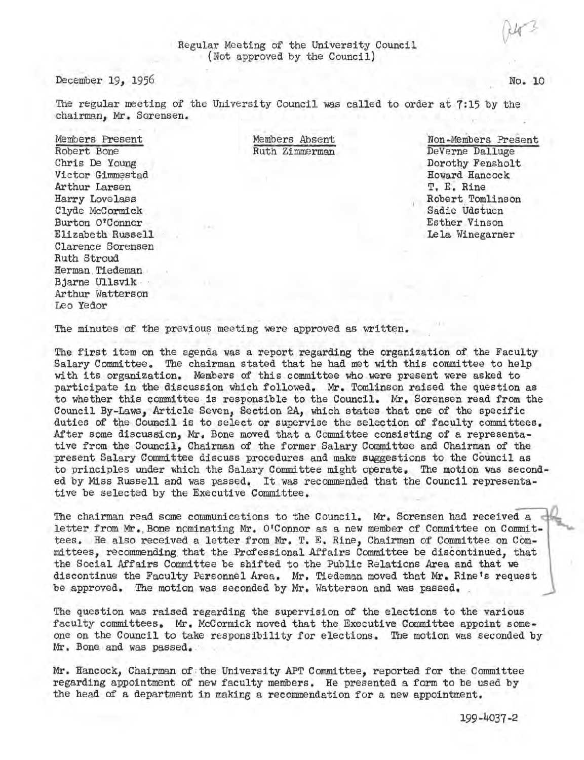December 19, 1956

The regular meeting of the University Council was called to order at 7:15 by the chairman. Mr. Sorensen.

Members Present Robert Bone Chris De Young Victor Gimmestad Arthur Larsen Harry Love lass Clyde McCormick<br>Burton O'Connor Elizabeth Russell Clarence Sorensen Ruth Stroud Herman Tiedeman<br>Bjarne Ullsvik<br>Arthur Watterson Leo Yedor

 . Members Absent Ruth Zimmerman

·Non-Members Present DeVerne Dalluge Dorothy Fensholt Howard Hancock T, E. Rine Robert.Tomlinson Sadie Udstuen Esther Vinson Lela Winegarner

The minutes of the previous meeting were approved as written.

The first item on the agenda was a report regarding the organization of the Faculty Salary Committee. The chairman stated that he had met with this committee to help with its organization. Members of this committee who were present were asked to participate in the discussion which followed. Mr. Tomlinson raised the question as to whether this committee is responsible to the Council. Mr. Sorensen read from the Council By-Laws, Article Seven, Section 2A*1* which states that one of the specific duties of the Council is to select or supervise the selection of faculty committees. After some discussion, Mr. Bone moved that a Committee consisting of a representative from the Council, Chairman of the former Salary Committee and Chairman of the present Salary Committee discuss procedures and make suggestions to the Council as to principles wider which the Salary Committee might operate. The motion was seconded by Miss Russell and was passed. It was recommended that the Council representative be selected by the Executive Committee.

The chairman read some communications to the Council. Mr. Sorensen had received a letter from Mr. Bone nominating Mr. O'Connor as a new member of Committee on Committees. He also received a letter from Mr. T. E. Rine, Chairman of Committee on Committees, recommending that the Professional Affairs Committee be discontinued, that the Social Affairs Committee be shifted to the Public Relations Area and that we discontinue the Faculty Personnel Area. Mr. Tiedeman moved that Mr. Rine's request be approved. The motion was seconded by Mr. Watterson and was passed.

The question was raised regarding the supervision of the elections to the various faculty committees. Mr. McCormick moved that the Executive Committee appoint someone on the Council to take responsibility for elections. The motion was seconded by Mr. Bone and was passed.

Mr. Hancock, Chairman of the University APT Committee, reported for the Committee regarding appointment of new faculty members. He presented a form to be used by the head of a department in making a recommendation for a new appointment.

No. 10